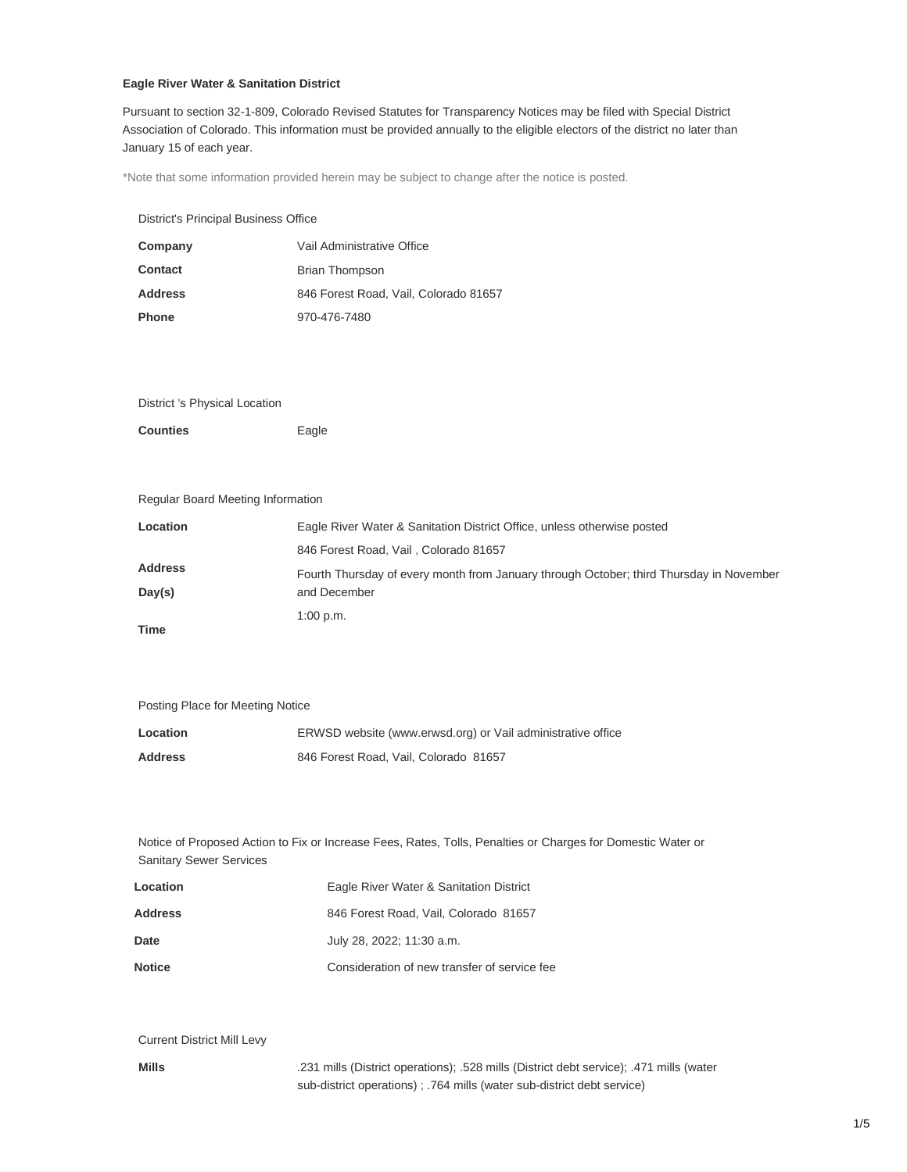# **Eagle River Water & Sanitation District**

Pursuant to section 32-1-809, Colorado Revised Statutes for Transparency Notices may be filed with Special District Association of Colorado. This information must be provided annually to the eligible electors of the district no later than January 15 of each year.

\*Note that some information provided herein may be subject to change after the notice is posted.

District's Principal Business Office

| Company        | Vail Administrative Office            |  |
|----------------|---------------------------------------|--|
| <b>Contact</b> | <b>Brian Thompson</b>                 |  |
| <b>Address</b> | 846 Forest Road, Vail, Colorado 81657 |  |
| <b>Phone</b>   | 970-476-7480                          |  |

## District 's Physical Location

| Counties<br>Eagle |
|-------------------|
|                   |

## Regular Board Meeting Information

| Location                 | Eagle River Water & Sanitation District Office, unless otherwise posted                                 |  |
|--------------------------|---------------------------------------------------------------------------------------------------------|--|
|                          | 846 Forest Road, Vail, Colorado 81657                                                                   |  |
| <b>Address</b><br>Day(s) | Fourth Thursday of every month from January through October; third Thursday in November<br>and December |  |
| Time                     | $1:00$ p.m.                                                                                             |  |

Posting Place for Meeting Notice

| Location       | ERWSD website (www.erwsd.org) or Vail administrative office |
|----------------|-------------------------------------------------------------|
| <b>Address</b> | 846 Forest Road, Vail, Colorado 81657                       |

Notice of Proposed Action to Fix or Increase Fees, Rates, Tolls, Penalties or Charges for Domestic Water or Sanitary Sewer Services

| Location      | Eagle River Water & Sanitation District      |
|---------------|----------------------------------------------|
| Address       | 846 Forest Road, Vail, Colorado 81657        |
| Date          | July 28, 2022; 11:30 a.m.                    |
| <b>Notice</b> | Consideration of new transfer of service fee |

Current District Mill Levy

**Mills** .231 mills (District operations); .528 mills (District debt service); .471 mills (water sub-district operations) ; .764 mills (water sub-district debt service)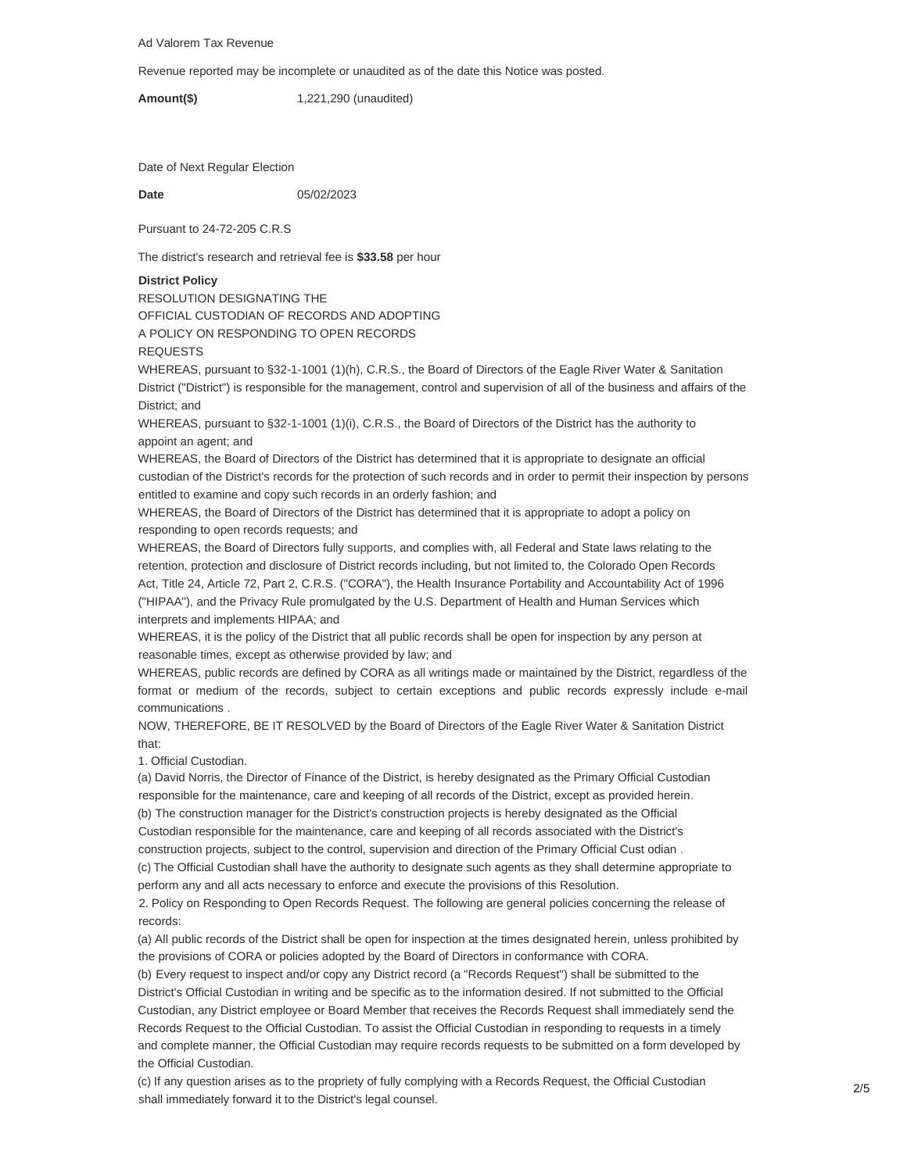Ad Valorem Tax Revenue

Revenue reported may be incomplete or unaudited as of the date this Notice was posted.

**Amount(\$)** 1,221,290 (unaudited)

Date of Next Regular Election

**Date** 05/02/2023

Pursuant to 24-72-205 C.R.S

The district's research and retrieval fee is **\$33.58** per hour

### **District Policy**

RESOLUTION DESIGNATING THE OFFICIAL CUSTODIAN OF RECORDS AND ADOPTING A POLICY ON RESPONDING TO OPEN RECORDS

REQUESTS

WHEREAS, pursuant to §32-1-1001 (1)(h), C.R.S., the Board of Directors of the Eagle River Water & Sanitation District ("District") is responsible for the management, control and supervision of all of the business and affairs of the District; and

WHEREAS, pursuant to §32-1-1001 (1)(i), C.R.S., the Board of Directors of the District has the authority to appoint an agent; and

WHEREAS, the Board of Directors of the District has determined that it is appropriate to designate an official custodian of the District's records for the protection of such records and in order to permit their inspection by persons entitled to examine and copy such records in an orderly fashion; and

WHEREAS, the Board of Directors of the District has determined that it is appropriate to adopt a policy on responding to open records requests; and

WHEREAS, the Board of Directors fully supports, and complies with, all Federal and State laws relating to the retention, protection and disclosure of District records including, but not limited to, the Colorado Open Records Act, Title 24, Article 72, Part 2, C.R.S. ("CORA"), the Health Insurance Portability and Accountability Act of 1996 ("HIPAA"), and the Privacy Rule promulgated by the U.S. Department of Health and Human Services which interprets and implements HIPAA; and

WHEREAS, it is the policy of the District that all public records shall be open for inspection by any person at reasonable times, except as otherwise provided by law; and

WHEREAS, public records are defined by CORA as all writings made or maintained by the District, regardless of the format or medium of the records, subject to certain exceptions and public records expressly include e-mail communications .

NOW, THEREFORE, BE IT RESOLVED by the Board of Directors of the Eagle River Water & Sanitation District that:

1. Official Custodian.

(a) David Norris, the Director of Finance of the District, is hereby designated as the Primary Official Custodian responsible for the maintenance, care and keeping of all records of the District, except as provided herein. (b) The construction manager for the District's construction projects is hereby designated as the Official

Custodian responsible for the maintenance, care and keeping of all records associated with the District's construction projects, subject to the control, supervision and direction of the Primary Official Cust odian .

(c) The Official Custodian shall have the authority to designate such agents as they shall determine appropriate to perform any and all acts necessary to enforce and execute the provisions of this Resolution.

2. Policy on Responding to Open Records Request. The following are general policies concerning the release of records:

(a) All public records of the District shall be open for inspection at the times designated herein, unless prohibited by the provisions of CORA or policies adopted by the Board of Directors in conformance with CORA.

(b) Every request to inspect and/or copy any District record (a "Records Request") shall be submitted to the District's Official Custodian in writing and be specific as to the information desired. If not submitted to the Official Custodian, any District employee or Board Member that receives the Records Request shall immediately send the Records Request to the Official Custodian. To assist the Official Custodian in responding to requests in a timely and complete manner, the Official Custodian may require records requests to be submitted on a form developed by the Official Custodian.

(c) If any question arises as to the propriety of fully complying with a Records Request, the Official Custodian shall immediately forward it to the District's legal counsel.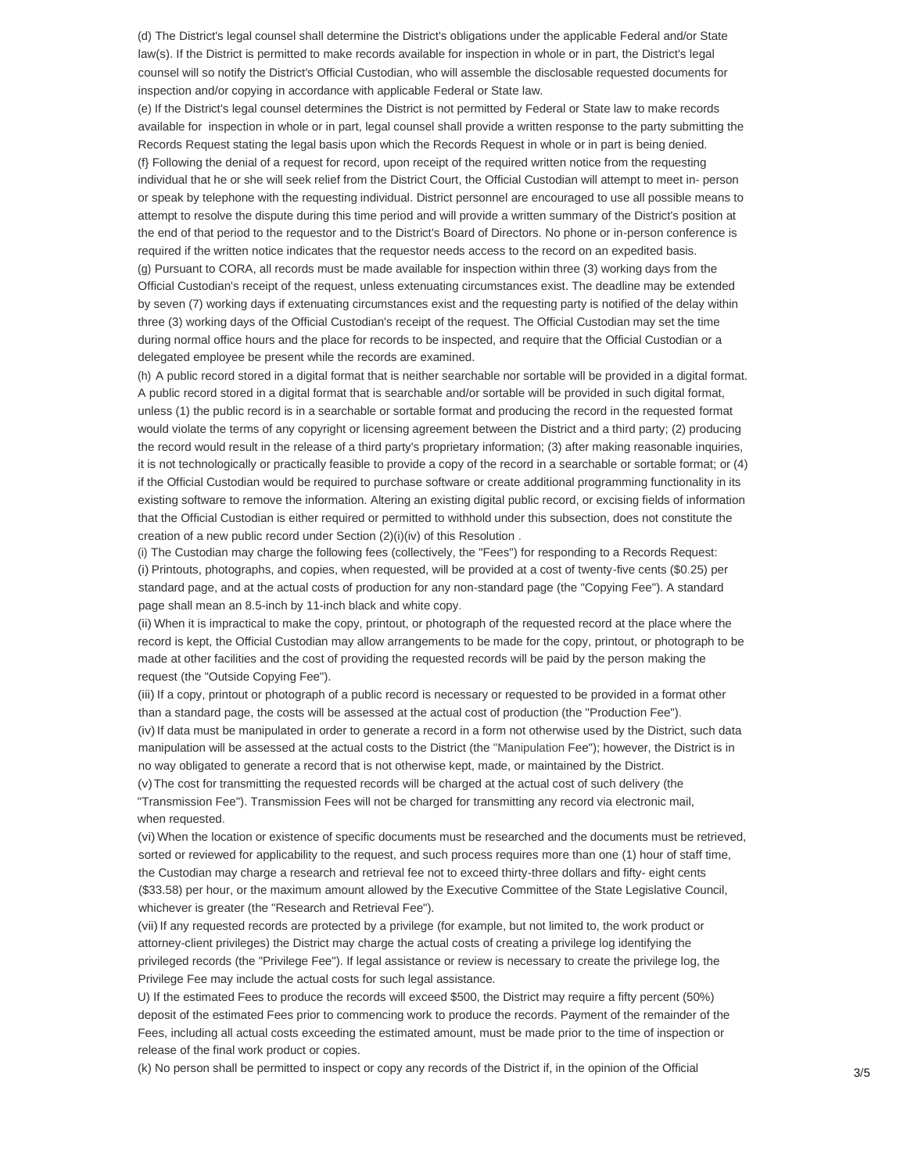(d) The District's legal counsel shall determine the District's obligations under the applicable Federal and/or State law(s). If the District is permitted to make records available for inspection in whole or in part, the District's legal counsel will so notify the District's Official Custodian, who will assemble the disclosable requested documents for inspection and/or copying in accordance with applicable Federal or State law.

(e) If the District's legal counsel determines the District is not permitted by Federal or State law to make records available for inspection in whole or in part, legal counsel shall provide a written response to the party submitting the Records Request stating the legal basis upon which the Records Request in whole or in part is being denied. (f} Following the denial of a request for record, upon receipt of the required written notice from the requesting individual that he or she will seek relief from the District Court, the Official Custodian will attempt to meet in- person or speak by telephone with the requesting individual. District personnel are encouraged to use all possible means to attempt to resolve the dispute during this time period and will provide a written summary of the District's position at the end of that period to the requestor and to the District's Board of Directors. No phone or in-person conference is required if the written notice indicates that the requestor needs access to the record on an expedited basis. (g) Pursuant to CORA, all records must be made available for inspection within three (3) working days from the Official Custodian's receipt of the request, unless extenuating circumstances exist. The deadline may be extended by seven (7) working days if extenuating circumstances exist and the requesting party is notified of the delay within three (3) working days of the Official Custodian's receipt of the request. The Official Custodian may set the time during normal office hours and the place for records to be inspected, and require that the Official Custodian or a delegated employee be present while the records are examined.

(h) A public record stored in a digital format that is neither searchable nor sortable will be provided in a digital format. A public record stored in a digital format that is searchable and/or sortable will be provided in such digital format, unless (1) the public record is in a searchable or sortable format and producing the record in the requested format would violate the terms of any copyright or licensing agreement between the District and a third party; (2) producing the record would result in the release of a third party's proprietary information; (3) after making reasonable inquiries, it is not technologically or practically feasible to provide a copy of the record in a searchable or sortable format; or (4) if the Official Custodian would be required to purchase software or create additional programming functionality in its existing software to remove the information. Altering an existing digital public record, or excising fields of information that the Official Custodian is either required or permitted to withhold under this subsection, does not constitute the creation of a new public record under Section (2)(i)(iv) of this Resolution .

(i) The Custodian may charge the following fees (collectively, the "Fees") for responding to a Records Request: (i) Printouts, photographs, and copies, when requested, will be provided at a cost of twenty-five cents (\$0.25) per standard page, and at the actual costs of production for any non-standard page (the "Copying Fee"). A standard page shall mean an 8.5-inch by 11-inch black and white copy.

(ii) When it is impractical to make the copy, printout, or photograph of the requested record at the place where the record is kept, the Official Custodian may allow arrangements to be made for the copy, printout, or photograph to be made at other facilities and the cost of providing the requested records will be paid by the person making the request (the "Outside Copying Fee").

(iii) If a copy, printout or photograph of a public record is necessary or requested to be provided in a format other than a standard page, the costs will be assessed at the actual cost of production (the "Production Fee"). (iv) If data must be manipulated in order to generate a record in a form not otherwise used by the District, such data manipulation will be assessed at the actual costs to the District (the "Manipulation Fee"); however, the District is in no way obligated to generate a record that is not otherwise kept, made, or maintained by the District. (v)The cost for transmitting the requested records will be charged at the actual cost of such delivery (the

"Transmission Fee"). Transmission Fees will not be charged for transmitting any record via electronic mail, when requested.

(vi) When the location or existence of specific documents must be researched and the documents must be retrieved, sorted or reviewed for applicability to the request, and such process requires more than one (1) hour of staff time, the Custodian may charge a research and retrieval fee not to exceed thirty-three dollars and fifty- eight cents (\$33.58) per hour, or the maximum amount allowed by the Executive Committee of the State Legislative Council, whichever is greater (the "Research and Retrieval Fee").

(vii) If any requested records are protected by a privilege (for example, but not limited to, the work product or attorney-client privileges) the District may charge the actual costs of creating a privilege log identifying the privileged records (the "Privilege Fee"). If legal assistance or review is necessary to create the privilege log, the Privilege Fee may include the actual costs for such legal assistance.

U) If the estimated Fees to produce the records will exceed \$500, the District may require a fifty percent (50%) deposit of the estimated Fees prior to commencing work to produce the records. Payment of the remainder of the Fees, including all actual costs exceeding the estimated amount, must be made prior to the time of inspection or release of the final work product or copies.

(k) No person shall be permitted to inspect or copy any records of the District if, in the opinion of the Official 3/5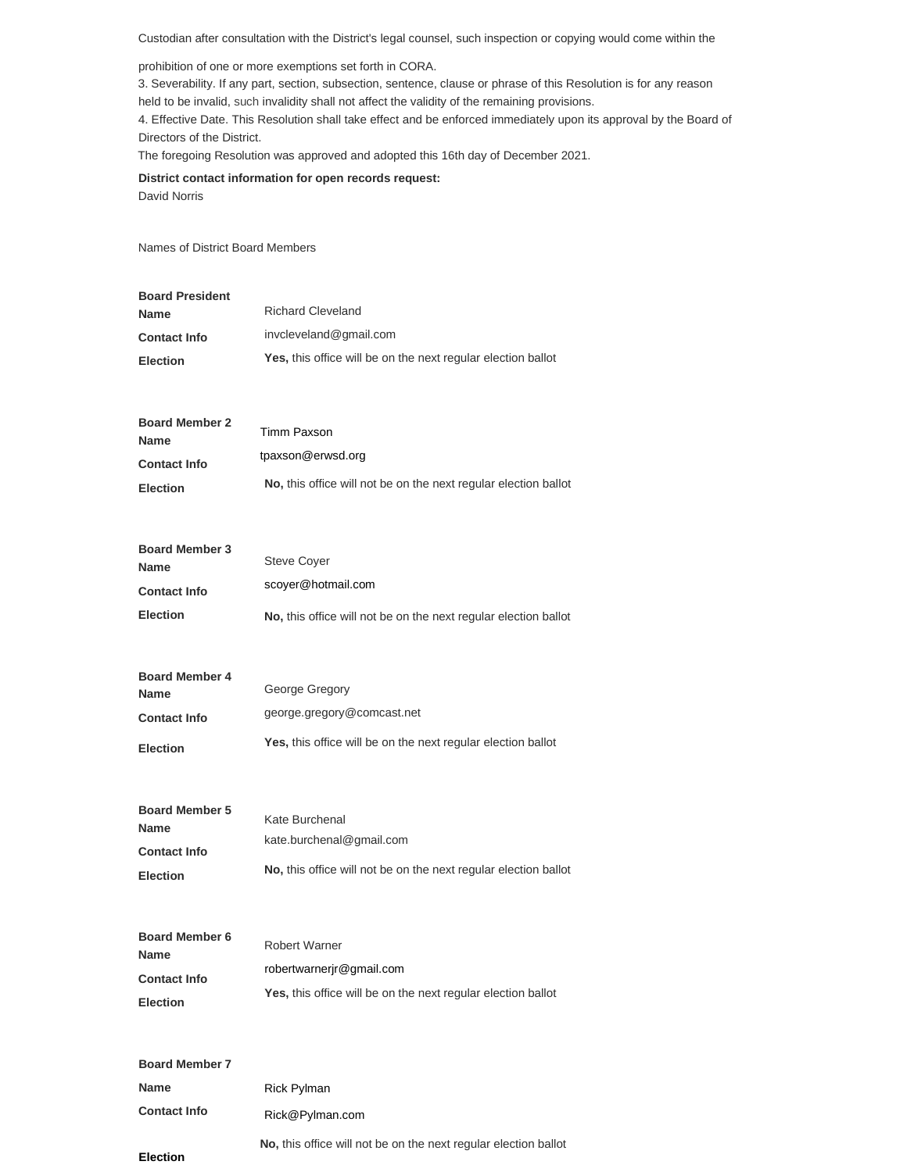Custodian after consultation with the District's legal counsel, such inspection or copying would come within the

prohibition of one or more exemptions set forth in CORA.

3. Severability. If any part, section, subsection, sentence, clause or phrase of this Resolution is for any reason

held to be invalid, such invalidity shall not affect the validity of the remaining provisions.

4. Effective Date. This Resolution shall take effect and be enforced immediately upon its approval by the Board of Directors of the District.

The foregoing Resolution was approved and adopted this 16th day of December 2021.

**District contact information for open records request:** David Norris

**Election**

Names of District Board Members

| <b>Board President</b><br>Name | <b>Richard Cleveland</b>                                        |  |  |
|--------------------------------|-----------------------------------------------------------------|--|--|
| <b>Contact Info</b>            | invcleveland@gmail.com                                          |  |  |
| <b>Election</b>                | Yes, this office will be on the next regular election ballot    |  |  |
|                                |                                                                 |  |  |
| <b>Board Member 2</b><br>Name  | Timm Paxson                                                     |  |  |
| <b>Contact Info</b>            | tpaxson@erwsd.org                                               |  |  |
| <b>Election</b>                | No, this office will not be on the next regular election ballot |  |  |
| <b>Board Member 3</b><br>Name  | <b>Steve Coyer</b>                                              |  |  |
| <b>Contact Info</b>            | scoyer@hotmail.com                                              |  |  |
| Election                       | No, this office will not be on the next regular election ballot |  |  |
|                                |                                                                 |  |  |
| <b>Board Member 4</b><br>Name  | George Gregory                                                  |  |  |
| <b>Contact Info</b>            | george.gregory@comcast.net                                      |  |  |
| <b>Election</b>                | Yes, this office will be on the next regular election ballot    |  |  |
|                                |                                                                 |  |  |
| <b>Board Member 5</b>          | Kate Burchenal                                                  |  |  |
| Name<br><b>Contact Info</b>    | kate.burchenal@gmail.com                                        |  |  |
| <b>Election</b>                | No, this office will not be on the next regular election ballot |  |  |
|                                |                                                                 |  |  |
| <b>Board Member 6</b>          | Robert Warner                                                   |  |  |
| Name                           | robertwarnerjr@gmail.com                                        |  |  |
| Contact Info                   | Yes, this office will be on the next regular election ballot    |  |  |
| Election                       |                                                                 |  |  |
| <b>Board Member 7</b>          |                                                                 |  |  |
| Name                           | <b>Rick Pylman</b>                                              |  |  |
| <b>Contact Info</b>            | Rick@Pylman.com                                                 |  |  |

**No,** this office will not be on the next regular election ballot